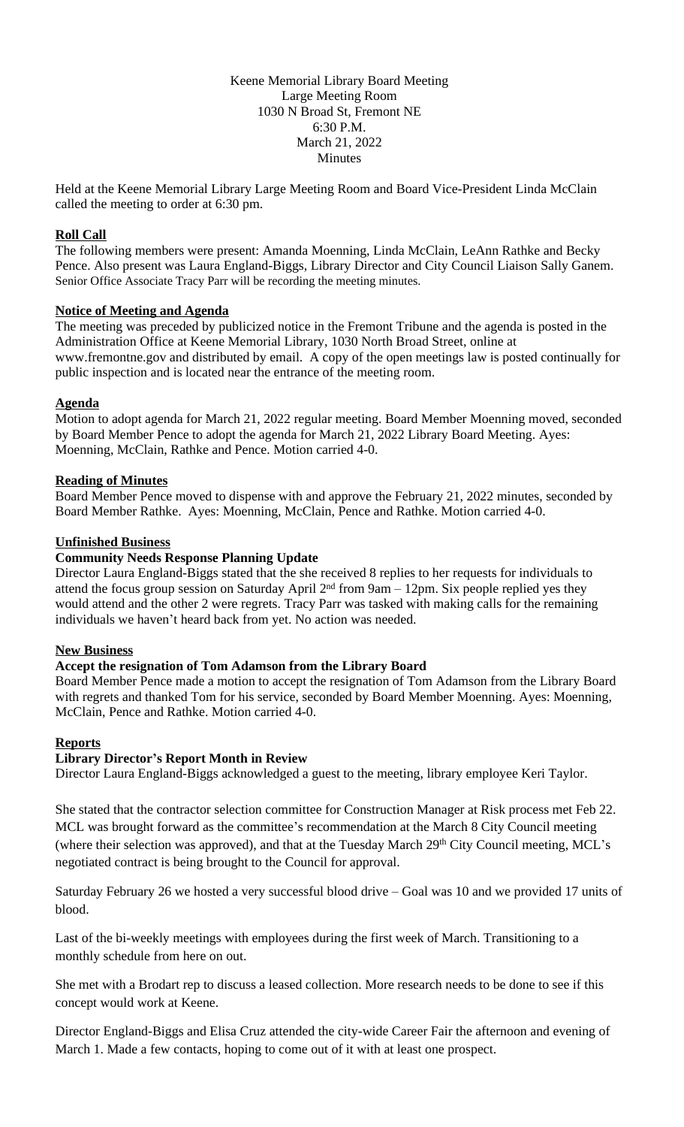Keene Memorial Library Board Meeting Large Meeting Room 1030 N Broad St, Fremont NE 6:30 P.M. March 21, 2022 Minutes

Held at the Keene Memorial Library Large Meeting Room and Board Vice-President Linda McClain called the meeting to order at 6:30 pm.

### **Roll Call**

The following members were present: Amanda Moenning, Linda McClain, LeAnn Rathke and Becky Pence. Also present was Laura England-Biggs, Library Director and City Council Liaison Sally Ganem. Senior Office Associate Tracy Parr will be recording the meeting minutes.

#### **Notice of Meeting and Agenda**

The meeting was preceded by publicized notice in the Fremont Tribune and the agenda is posted in the Administration Office at Keene Memorial Library, 1030 North Broad Street, online at www.fremontne.gov and distributed by email. A copy of the open meetings law is posted continually for public inspection and is located near the entrance of the meeting room.

## **Agenda**

Motion to adopt agenda for March 21, 2022 regular meeting. Board Member Moenning moved, seconded by Board Member Pence to adopt the agenda for March 21, 2022 Library Board Meeting. Ayes: Moenning, McClain, Rathke and Pence. Motion carried 4-0.

## **Reading of Minutes**

Board Member Pence moved to dispense with and approve the February 21, 2022 minutes, seconded by Board Member Rathke. Ayes: Moenning, McClain, Pence and Rathke. Motion carried 4-0.

## **Unfinished Business**

## **Community Needs Response Planning Update**

Director Laura England-Biggs stated that the she received 8 replies to her requests for individuals to attend the focus group session on Saturday April  $2<sup>nd</sup>$  from 9am – 12pm. Six people replied yes they would attend and the other 2 were regrets. Tracy Parr was tasked with making calls for the remaining individuals we haven't heard back from yet. No action was needed.

#### **New Business**

#### **Accept the resignation of Tom Adamson from the Library Board**

Board Member Pence made a motion to accept the resignation of Tom Adamson from the Library Board with regrets and thanked Tom for his service, seconded by Board Member Moenning. Ayes: Moenning, McClain, Pence and Rathke. Motion carried 4-0.

#### **Reports**

#### **Library Director's Report Month in Review**

Director Laura England-Biggs acknowledged a guest to the meeting, library employee Keri Taylor.

She stated that the contractor selection committee for Construction Manager at Risk process met Feb 22. MCL was brought forward as the committee's recommendation at the March 8 City Council meeting (where their selection was approved), and that at the Tuesday March 29<sup>th</sup> City Council meeting, MCL's negotiated contract is being brought to the Council for approval.

Saturday February 26 we hosted a very successful blood drive – Goal was 10 and we provided 17 units of blood.

Last of the bi-weekly meetings with employees during the first week of March. Transitioning to a monthly schedule from here on out.

She met with a Brodart rep to discuss a leased collection. More research needs to be done to see if this concept would work at Keene.

Director England-Biggs and Elisa Cruz attended the city-wide Career Fair the afternoon and evening of March 1. Made a few contacts, hoping to come out of it with at least one prospect.